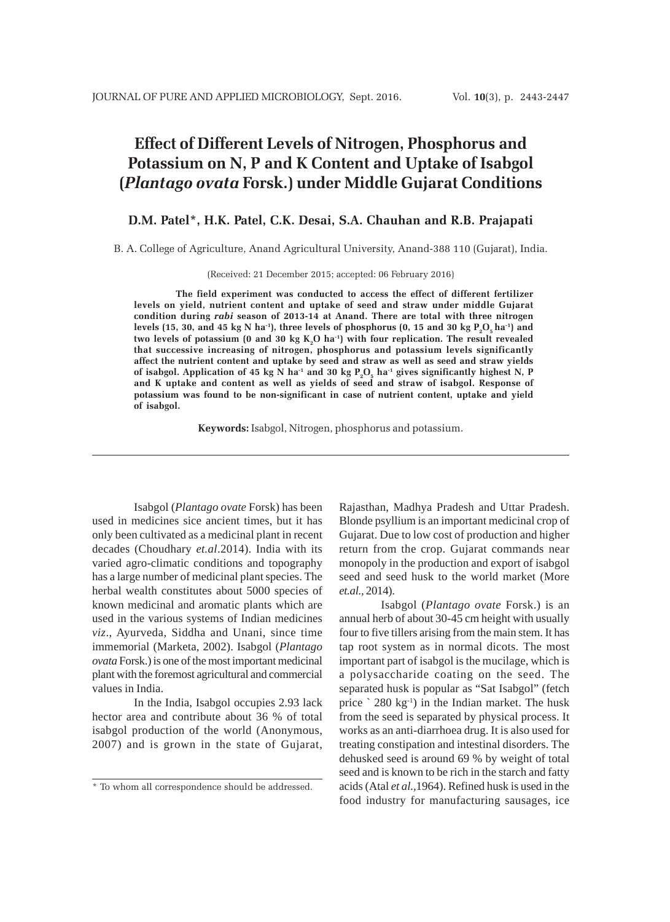# **Effect of Different Levels of Nitrogen, Phosphorus and Potassium on N, P and K Content and Uptake of Isabgol (***Plantago ovata* **Forsk.) under Middle Gujarat Conditions**

## **D.M. Patel\*, H.K. Patel, C.K. Desai, S.A. Chauhan and R.B. Prajapati**

B. A. College of Agriculture, Anand Agricultural University, Anand-388 110 (Gujarat), India.

(Received: 21 December 2015; accepted: 06 February 2016)

**The field experiment was conducted to access the effect of different fertilizer levels on yield, nutrient content and uptake of seed and straw under middle Gujarat condition during** *rabi* **season of 2013-14 at Anand. There are total with three nitrogen** levels (15, 30, and 45 kg N ha<sup>-1</sup>), three levels of phosphorus (0, 15 and 30 kg  $P_2O_5$  ha<sup>-1</sup>) and two levels of potassium (0 and 30 kg K<sub>2</sub>O ha<sup>-1</sup>) with four replication. The result revealed **that successive increasing of nitrogen, phosphorus and potassium levels significantly affect the nutrient content and uptake by seed and straw as well as seed and straw yields** of isabgol. Application of 45 kg N ha<sup>-1</sup> and 30 kg P<sub>2</sub>O<sub>5</sub> ha<sup>-1</sup> gives significantly highest N, P **and K uptake and content as well as yields of seed and straw of isabgol. Response of potassium was found to be non-significant in case of nutrient content, uptake and yield of isabgol.**

**Keywords:** Isabgol, Nitrogen, phosphorus and potassium.

Isabgol (*Plantago ovate* Forsk) has been used in medicines sice ancient times, but it has only been cultivated as a medicinal plant in recent decades (Choudhary *et.al*.2014). India with its varied agro-climatic conditions and topography has a large number of medicinal plant species. The herbal wealth constitutes about 5000 species of known medicinal and aromatic plants which are used in the various systems of Indian medicines *viz*., Ayurveda, Siddha and Unani, since time immemorial (Marketa, 2002). Isabgol (*Plantago ovata* Forsk.) is one of the most important medicinal plant with the foremost agricultural and commercial values in India.

In the India, Isabgol occupies 2.93 lack hector area and contribute about 36 % of total isabgol production of the world (Anonymous, 2007) and is grown in the state of Gujarat, Rajasthan, Madhya Pradesh and Uttar Pradesh. Blonde psyllium is an important medicinal crop of Gujarat. Due to low cost of production and higher return from the crop. Gujarat commands near monopoly in the production and export of isabgol seed and seed husk to the world market (More *et.al.,* 2014).

Isabgol (*Plantago ovate* Forsk.) is an annual herb of about 30-45 cm height with usually four to five tillers arising from the main stem. It has tap root system as in normal dicots. The most important part of isabgol is the mucilage, which is a polysaccharide coating on the seed. The separated husk is popular as "Sat Isabgol" (fetch price  $\degree$  280 kg<sup>-1</sup>) in the Indian market. The husk from the seed is separated by physical process. It works as an anti-diarrhoea drug. It is also used for treating constipation and intestinal disorders. The dehusked seed is around 69 % by weight of total seed and is known to be rich in the starch and fatty acids (Atal *et al.,*1964). Refined husk is used in the food industry for manufacturing sausages, ice

<sup>\*</sup> To whom all correspondence should be addressed.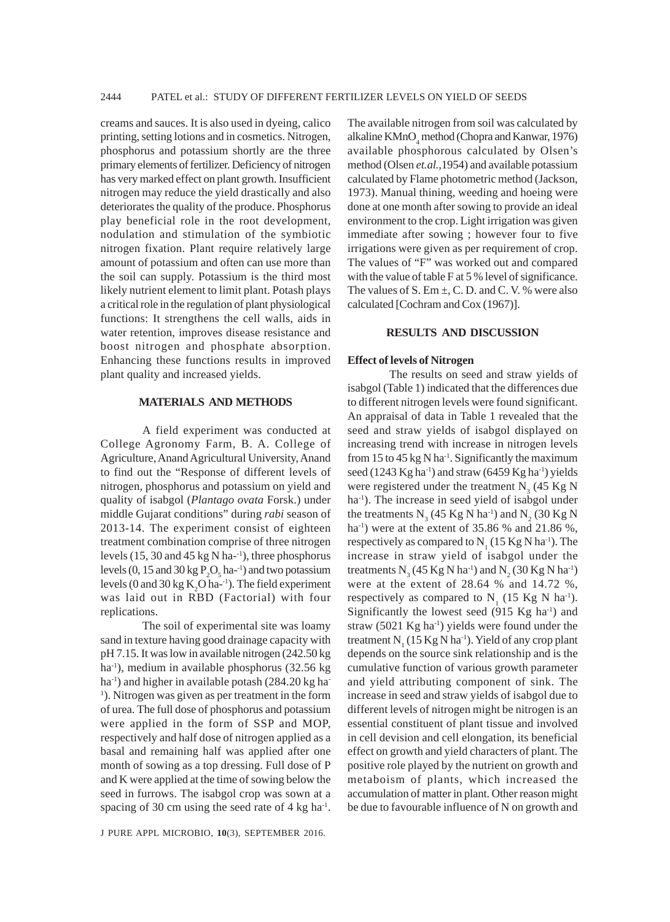creams and sauces. It is also used in dyeing, calico printing, setting lotions and in cosmetics. Nitrogen, phosphorus and potassium shortly are the three primary elements of fertilizer. Deficiency of nitrogen has very marked effect on plant growth. Insufficient nitrogen may reduce the yield drastically and also deteriorates the quality of the produce. Phosphorus play beneficial role in the root development, nodulation and stimulation of the symbiotic nitrogen fixation. Plant require relatively large amount of potassium and often can use more than the soil can supply. Potassium is the third most likely nutrient element to limit plant. Potash plays a critical role in the regulation of plant physiological functions: It strengthens the cell walls, aids in water retention, improves disease resistance and boost nitrogen and phosphate absorption. Enhancing these functions results in improved plant quality and increased yields.

## **MATERIALS AND METHODS**

A field experiment was conducted at College Agronomy Farm, B. A. College of Agriculture, Anand Agricultural University, Anand to find out the "Response of different levels of nitrogen, phosphorus and potassium on yield and quality of isabgol (*Plantago ovata* Forsk.) under middle Gujarat conditions" during *rabi* season of 2013-14. The experiment consist of eighteen treatment combination comprise of three nitrogen levels  $(15, 30 \text{ and } 45 \text{ kg N} \text{ ha}^{-1})$ , three phosphorus levels (0, 15 and  $30 \text{ kg} \, \text{P}_2\text{O}_5$  ha<sup>-1</sup>) and two potassium levels (0 and 30 kg  $K_2O$  ha-<sup>1</sup>). The field experiment was laid out in RBD (Factorial) with four replications.

The soil of experimental site was loamy sand in texture having good drainage capacity with pH 7.15. It was low in available nitrogen (242.50 kg ha-1), medium in available phosphorus (32.56 kg ha<sup>-1</sup>) and higher in available potash  $(284.20 \text{ kg} \text{ ha}^{-1})$ <sup>1</sup>). Nitrogen was given as per treatment in the form of urea. The full dose of phosphorus and potassium were applied in the form of SSP and MOP, respectively and half dose of nitrogen applied as a basal and remaining half was applied after one month of sowing as a top dressing. Full dose of P and K were applied at the time of sowing below the seed in furrows. The isabgol crop was sown at a spacing of 30 cm using the seed rate of  $4 \text{ kg ha}^{-1}$ .

J PURE APPL MICROBIO*,* **10**(3), SEPTEMBER 2016.

The available nitrogen from soil was calculated by alkaline  $KMnO_4$  method (Chopra and Kanwar, 1976) available phosphorous calculated by Olsen's method (Olsen *et.al.,*1954) and available potassium calculated by Flame photometric method (Jackson, 1973). Manual thining, weeding and hoeing were done at one month after sowing to provide an ideal environment to the crop. Light irrigation was given immediate after sowing ; however four to five irrigations were given as per requirement of crop. The values of "F" was worked out and compared with the value of table F at 5 % level of significance. The values of S. Em  $\pm$ , C. D. and C. V. % were also calculated [Cochram and Cox (1967)].

## **RESULTS AND DISCUSSION**

#### **Effect of levels of Nitrogen**

The results on seed and straw yields of isabgol (Table 1) indicated that the differences due to different nitrogen levels were found significant. An appraisal of data in Table 1 revealed that the seed and straw yields of isabgol displayed on increasing trend with increase in nitrogen levels from 15 to 45 kg N ha<sup>1</sup>. Significantly the maximum seed (1243 Kg ha<sup>-1</sup>) and straw (6459 Kg ha<sup>-1</sup>) yields were registered under the treatment  $N_3$  (45 Kg N ha<sup>-1</sup>). The increase in seed yield of isabgol under the treatments  $N_3$  (45 Kg N ha<sup>-1</sup>) and  $N_2$  (30 Kg N ha<sup>-1</sup>) were at the extent of 35.86 % and 21.86 %, respectively as compared to  $N_1$  (15 Kg N ha<sup>-1</sup>). The increase in straw yield of isabgol under the treatments  $N_3$  (45 Kg N ha<sup>-1</sup>) and  $N_2$  (30 Kg N ha<sup>-1</sup>) were at the extent of 28.64 % and 14.72 %, respectively as compared to  $N_1$  (15 Kg N ha<sup>-1</sup>). Significantly the lowest seed  $(915 \text{ Kg ha}^{-1})$  and straw  $(5021 \text{ Kg ha}^{-1})$  yields were found under the treatment  $N_1$  (15 Kg N ha<sup>-1</sup>). Yield of any crop plant depends on the source sink relationship and is the cumulative function of various growth parameter and yield attributing component of sink. The increase in seed and straw yields of isabgol due to different levels of nitrogen might be nitrogen is an essential constituent of plant tissue and involved in cell devision and cell elongation, its beneficial effect on growth and yield characters of plant. The positive role played by the nutrient on growth and metaboism of plants, which increased the accumulation of matter in plant. Other reason might be due to favourable influence of N on growth and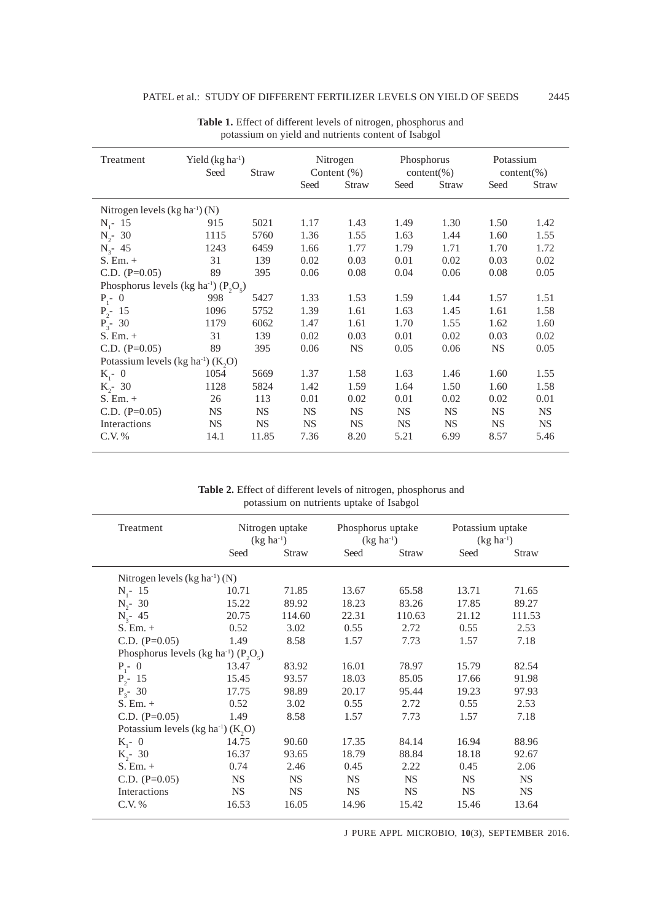| Treatment                                           | Yield $(kg ha-1)$<br>Seed<br><b>Straw</b> |           | Nitrogen<br>Content $(\%)$ |              | Phosphorus<br>$content(\% )$ |              | Potassium<br>$content(\% )$ |              |
|-----------------------------------------------------|-------------------------------------------|-----------|----------------------------|--------------|------------------------------|--------------|-----------------------------|--------------|
|                                                     |                                           |           | Seed                       | <b>Straw</b> | Seed                         | <b>Straw</b> | Seed                        | <b>Straw</b> |
| Nitrogen levels $(kg ha^{-1})$ (N)                  |                                           |           |                            |              |                              |              |                             |              |
| $N_i - 15$                                          | 915                                       | 5021      | 1.17                       | 1.43         | 1.49                         | 1.30         | 1.50                        | 1.42         |
| $N_{2}$ - 30                                        | 1115                                      | 5760      | 1.36                       | 1.55         | 1.63                         | 1.44         | 1.60                        | 1.55         |
| $N_{3}$ - 45                                        | 1243                                      | 6459      | 1.66                       | 1.77         | 1.79                         | 1.71         | 1.70                        | 1.72         |
| $S.$ Em. $+$                                        | 31                                        | 139       | 0.02                       | 0.03         | 0.01                         | 0.02         | 0.03                        | 0.02         |
| C.D. $(P=0.05)$                                     | 89                                        | 395       | 0.06                       | 0.08         | 0.04                         | 0.06         | 0.08                        | 0.05         |
| Phosphorus levels (kg ha <sup>-1</sup> ) $(P_2O_5)$ |                                           |           |                            |              |                              |              |                             |              |
| $P_1 - 0$                                           | 998                                       | 5427      | 1.33                       | 1.53         | 1.59                         | 1.44         | 1.57                        | 1.51         |
| $P_{2}$ - 15                                        | 1096                                      | 5752      | 1.39                       | 1.61         | 1.63                         | 1.45         | 1.61                        | 1.58         |
| $P_{3}$ - 30                                        | 1179                                      | 6062      | 1.47                       | 1.61         | 1.70                         | 1.55         | 1.62                        | 1.60         |
| $S.$ Em. $+$                                        | 31                                        | 139       | 0.02                       | 0.03         | 0.01                         | 0.02         | 0.03                        | 0.02         |
| C.D. $(P=0.05)$                                     | 89                                        | 395       | 0.06                       | <b>NS</b>    | 0.05                         | 0.06         | <b>NS</b>                   | 0.05         |
| Potassium levels (kg ha <sup>-1</sup> ) $(K, O)$    |                                           |           |                            |              |                              |              |                             |              |
| $K_{1}$ - 0                                         | 1054                                      | 5669      | 1.37                       | 1.58         | 1.63                         | 1.46         | 1.60                        | 1.55         |
| $K_{2}$ - 30                                        | 1128                                      | 5824      | 1.42                       | 1.59         | 1.64                         | 1.50         | 1.60                        | 1.58         |
| $S. Em. +$                                          | 26                                        | 113       | 0.01                       | 0.02         | 0.01                         | 0.02         | 0.02                        | 0.01         |
| C.D. $(P=0.05)$                                     | <b>NS</b>                                 | NS.       | <b>NS</b>                  | <b>NS</b>    | <b>NS</b>                    | <b>NS</b>    | <b>NS</b>                   | <b>NS</b>    |
| Interactions                                        | <b>NS</b>                                 | <b>NS</b> | <b>NS</b>                  | <b>NS</b>    | <b>NS</b>                    | <b>NS</b>    | <b>NS</b>                   | <b>NS</b>    |
| C.V. %                                              | 14.1                                      | 11.85     | 7.36                       | 8.20         | 5.21                         | 6.99         | 8.57                        | 5.46         |

**Table 1.** Effect of different levels of nitrogen, phosphorus and potassium on yield and nutrients content of Isabgol

**Table 2.** Effect of different levels of nitrogen, phosphorus and potassium on nutrients uptake of Isabgol

| Treatment                                           |           | Nitrogen uptake<br>$(kg ha^{-1})$ | Phosphorus uptake<br>$(kg ha^{-1})$ |           | Potassium uptake<br>$(kg ha^{-1})$ |           |
|-----------------------------------------------------|-----------|-----------------------------------|-------------------------------------|-----------|------------------------------------|-----------|
|                                                     | Seed      | Straw                             | Seed                                | Straw     | Seed                               | Straw     |
| Nitrogen levels $(kg ha^{-1})$ (N)                  |           |                                   |                                     |           |                                    |           |
| $N_i - 15$                                          | 10.71     | 71.85                             | 13.67                               | 65.58     | 13.71                              | 71.65     |
| $N_{2}$ - 30                                        | 15.22     | 89.92                             | 18.23                               | 83.26     | 17.85                              | 89.27     |
| $N_{3}$ - 45                                        | 20.75     | 114.60                            | 22.31                               | 110.63    | 21.12                              | 111.53    |
| $S. Em. +$                                          | 0.52      | 3.02                              | 0.55                                | 2.72      | 0.55                               | 2.53      |
| C.D. $(P=0.05)$                                     | 1.49      | 8.58                              | 1.57                                | 7.73      | 1.57                               | 7.18      |
| Phosphorus levels (kg ha <sup>-1</sup> ) $(P_2O_5)$ |           |                                   |                                     |           |                                    |           |
| $P_1 - 0$                                           | 13.47     | 83.92                             | 16.01                               | 78.97     | 15.79                              | 82.54     |
| $P_{2}$ - 15                                        | 15.45     | 93.57                             | 18.03                               | 85.05     | 17.66                              | 91.98     |
| $P_{3}$ - 30                                        | 17.75     | 98.89                             | 20.17                               | 95.44     | 19.23                              | 97.93     |
| $S. Em. +$                                          | 0.52      | 3.02                              | 0.55                                | 2.72      | 0.55                               | 2.53      |
| C.D. $(P=0.05)$                                     | 1.49      | 8.58                              | 1.57                                | 7.73      | 1.57                               | 7.18      |
| Potassium levels (kg ha <sup>-1</sup> ) $(K, O)$    |           |                                   |                                     |           |                                    |           |
| $K_{1}$ - 0                                         | 14.75     | 90.60                             | 17.35                               | 84.14     | 16.94                              | 88.96     |
| $K_{2}$ - 30                                        | 16.37     | 93.65                             | 18.79                               | 88.84     | 18.18                              | 92.67     |
| $S. Em. +$                                          | 0.74      | 2.46                              | 0.45                                | 2.22      | 0.45                               | 2.06      |
| C.D. $(P=0.05)$                                     | <b>NS</b> | <b>NS</b>                         | <b>NS</b>                           | <b>NS</b> | <b>NS</b>                          | <b>NS</b> |
| Interactions                                        | <b>NS</b> | <b>NS</b>                         | <b>NS</b>                           | <b>NS</b> | <b>NS</b>                          | <b>NS</b> |
| C.V. %                                              | 16.53     | 16.05                             | 14.96                               | 15.42     | 15.46                              | 13.64     |

J PURE APPL MICROBIO*,* **10**(3), SEPTEMBER 2016.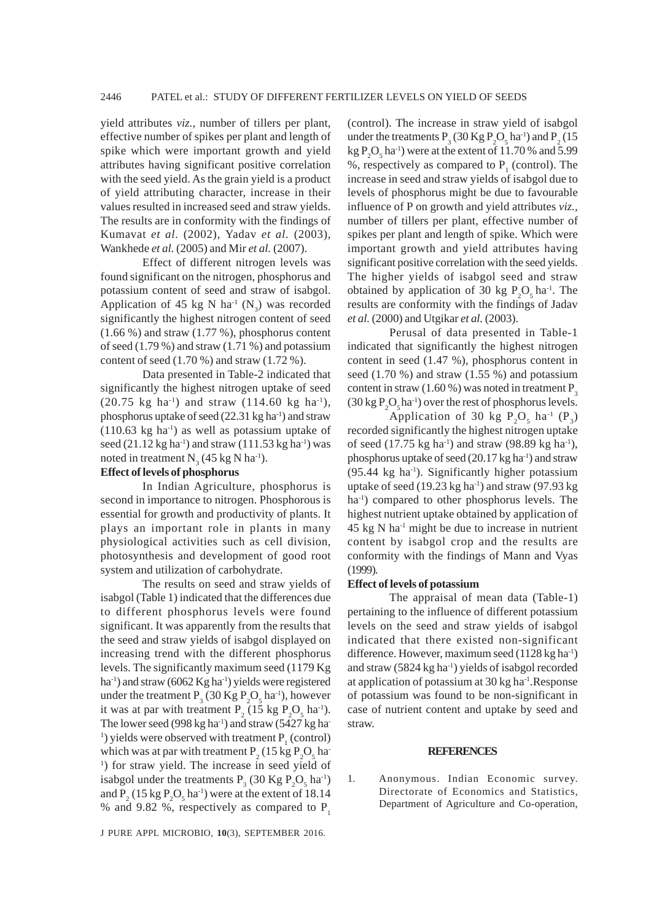yield attributes *viz.,* number of tillers per plant, effective number of spikes per plant and length of spike which were important growth and yield attributes having significant positive correlation with the seed yield. As the grain yield is a product of yield attributing character, increase in their values resulted in increased seed and straw yields. The results are in conformity with the findings of Kumavat *et al.* (2002), Yadav *et al.* (2003), Wankhede *et al.* (2005) and Mir *et al.* (2007).

Effect of different nitrogen levels was found significant on the nitrogen, phosphorus and potassium content of seed and straw of isabgol. Application of 45 kg N ha<sup>-1</sup> (N<sub>3</sub>) was recorded significantly the highest nitrogen content of seed (1.66 %) and straw (1.77 %), phosphorus content of seed (1.79 %) and straw (1.71 %) and potassium content of seed (1.70 %) and straw (1.72 %).

Data presented in Table-2 indicated that significantly the highest nitrogen uptake of seed  $(20.75 \text{ kg ha}^{-1})$  and straw  $(114.60 \text{ kg ha}^{-1})$ , phosphorus uptake of seed  $(22.31 \text{ kg ha}^{-1})$  and straw  $(110.63 \text{ kg} \text{ ha}^{-1})$  as well as potassium uptake of seed  $(21.12 \text{ kg} \text{ ha}^{-1})$  and straw  $(111.53 \text{ kg} \text{ ha}^{-1})$  was noted in treatment  $N_3$  (45 kg N ha<sup>-1</sup>).

## **Effect of levels of phosphorus**

In Indian Agriculture, phosphorus is second in importance to nitrogen. Phosphorous is essential for growth and productivity of plants. It plays an important role in plants in many physiological activities such as cell division, photosynthesis and development of good root system and utilization of carbohydrate.

The results on seed and straw yields of isabgol (Table 1) indicated that the differences due to different phosphorus levels were found significant. It was apparently from the results that the seed and straw yields of isabgol displayed on increasing trend with the different phosphorus levels. The significantly maximum seed (1179 Kg ha<sup>-1</sup>) and straw (6062 Kg ha<sup>-1</sup>) yields were registered under the treatment  $P_3$  (30 Kg  $P_2O_5$  ha<sup>-1</sup>), however it was at par with treatment  $P_2$  (15 kg  $P_2O_5$  ha<sup>-1</sup>). The lower seed (998 kg ha $^{-1}$ ) and straw (5427 kg ha-<sup>1</sup>) yields were observed with treatment  $P_1$  (control) which was at par with treatment  $P_2$  (15 kg  $P_2O_5$  ha-<sup>1</sup>) for straw yield. The increase in seed yield of isabgol under the treatments  $P_3$  (30 Kg  $P_2O_5$  ha<sup>-1</sup>) and  $P_2$  (15 kg  $P_2O_5$  ha<sup>-1</sup>) were at the extent of 18.14 % and 9.82 %, respectively as compared to  $P_1$ 

J PURE APPL MICROBIO*,* **10**(3), SEPTEMBER 2016.

(control). The increase in straw yield of isabgol under the treatments  $P_3$  (30 Kg  $P_2O_5$  ha<sup>-1</sup>) and  $P_2$  (15  $kg P<sub>2</sub>O<sub>5</sub>$  ha<sup>-1</sup>) were at the extent of 11.70 % and 5.99 %, respectively as compared to  $P_1$  (control). The increase in seed and straw yields of isabgol due to levels of phosphorus might be due to favourable influence of P on growth and yield attributes *viz.,* number of tillers per plant, effective number of spikes per plant and length of spike. Which were important growth and yield attributes having significant positive correlation with the seed yields. The higher yields of isabgol seed and straw obtained by application of 30 kg  $P_2O_5$  ha<sup>-1</sup>. The results are conformity with the findings of Jadav *et al.* (2000) and Utgikar *et al.* (2003).

Perusal of data presented in Table-1 indicated that significantly the highest nitrogen content in seed (1.47 %), phosphorus content in seed  $(1.70\%)$  and straw  $(1.55\%)$  and potassium content in straw  $(1.60\%)$  was noted in treatment  $P_{3}$  $(30 \text{ kg } P_2O_5 \text{ ha}^{-1})$  over the rest of phosphorus levels.

Application of 30 kg  $P_2O_5$  ha<sup>-1</sup> ( $P_3$ ) recorded significantly the highest nitrogen uptake of seed  $(17.75 \text{ kg} \text{ ha}^{-1})$  and straw  $(98.89 \text{ kg} \text{ ha}^{-1})$ , phosphorus uptake of seed  $(20.17 \text{ kg ha}^{-1})$  and straw  $(95.44 \text{ kg} \text{ ha}^{-1})$ . Significantly higher potassium uptake of seed  $(19.23 \text{ kg} \text{ ha}^{-1})$  and straw  $(97.93 \text{ kg} \text{ h})$ ha<sup>-1</sup>) compared to other phosphorus levels. The highest nutrient uptake obtained by application of  $45 \text{ kg N}$  ha<sup>-1</sup> might be due to increase in nutrient content by isabgol crop and the results are conformity with the findings of Mann and Vyas (1999).

### **Effect of levels of potassium**

The appraisal of mean data (Table-1) pertaining to the influence of different potassium levels on the seed and straw yields of isabgol indicated that there existed non-significant difference. However, maximum seed  $(1128 \text{ kg ha}^{-1})$ and straw  $(5824 \text{ kg} \text{ ha}^{-1})$  yields of isabgol recorded at application of potassium at 30 kg ha-1.Response of potassium was found to be non-significant in case of nutrient content and uptake by seed and straw.

#### **REFERENCES**

1. Anonymous. Indian Economic survey. Directorate of Economics and Statistics, Department of Agriculture and Co-operation,